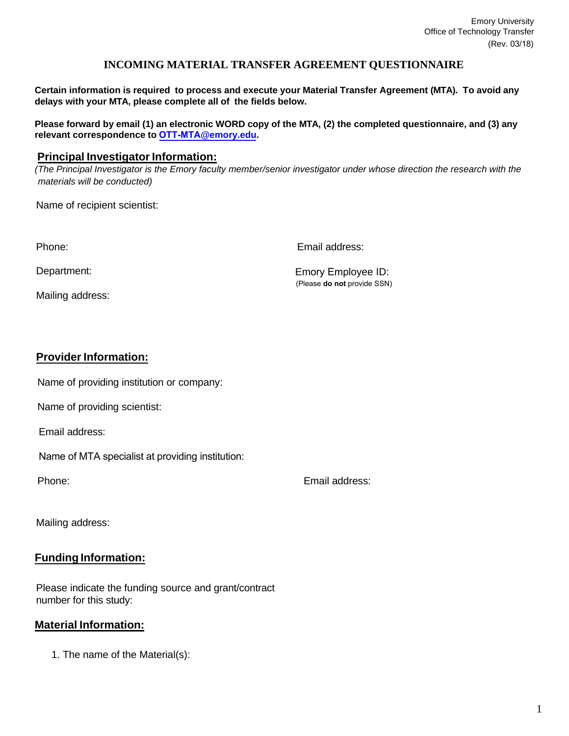## **INCOMING MATERIAL TRANSFER AGREEMENT QUESTIONNAIRE**

**Certain information is required to process and execute your Material Transfer Agreement (MTA). To avoid any delays with your MTA, please complete all of the fields below.**

Please forward by email (1) an electronic WORD copy of the MTA, (2) the completed questionnaire, and (3) any **relevant correspondence to OTT-MTA@emory.edu.**

## **Principal Investigator Information:**

*(The Principal Investigator is the Emory faculty member/senior investigator under whose direction the research with the materials will be conducted)*

Name of recipient scientist:

Phone:

Email address:

Department:

Mailing address:

Emory Employee ID: (Please **do not** provide SSN)

## **Provider Information:**

Name of providing institution or company:

Name of providing scientist:

Email address:

Name of MTA specialist at providing institution:

Phone:

Email address:

Mailing address:

# **Funding Information:**

Please indicate the funding source and grant/contract number for this study:

# **Material Information:**

1. The name of the Material(s):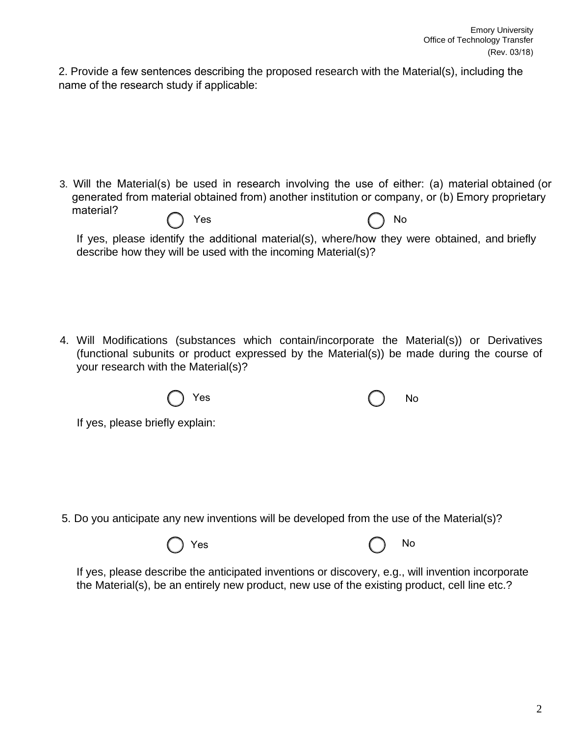2. Provide a few sentences describing the proposed research with the Material(s), including the name of the research study if applicable:

- 3. Will the Material(s) be used in research involving the use of either: (a) material obtained (or generated from material obtained from) another institution or company, or (b) Emory proprietary material? Yes (0) No
	- If yes, please identify the additional material(s), where/how they were obtained, and briefly describe how they will be used with the incoming Material(s)?

4. Will Modifications (substances which contain/incorporate the Material(s)) or Derivatives (functional subunits or product expressed by the Material(s)) be made during the course of your research with the Material(s)?



If yes, please briefly explain:

5. Do you anticipate any new inventions will be developed from the use of the Material(s)?

Yes ( ) No

If yes, please describe the anticipated inventions or discovery, e.g., will invention incorporate the Material(s), be an entirely new product, new use of the existing product, cell line etc.?